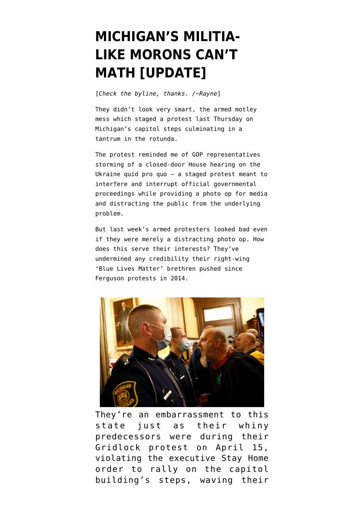## **[MICHIGAN'S MILITIA-](https://www.emptywheel.net/2020/05/03/michigans-militia-like-morons-cant-math/)[LIKE MORONS CAN'T](https://www.emptywheel.net/2020/05/03/michigans-militia-like-morons-cant-math/) [MATH \[UPDATE\]](https://www.emptywheel.net/2020/05/03/michigans-militia-like-morons-cant-math/)**

[*Check the byline, thanks. /~Rayne*]

They didn't look very smart, the armed motley mess which [staged a protest last Thursday](https://www.theguardian.com/us-news/2020/apr/30/michigan-protests-coronavirus-lockdown-armed-capitol) on Michigan's capitol steps culminating in a tantrum in the rotunda.

The protest reminded me of GOP representatives [storming of a closed-door House hearing](https://abcnews.go.com/Politics/top-defense-official-questioned-military-aid-ukraine-withheld/story?id=66469001) on the Ukraine quid pro quo — a staged protest meant to interfere and interrupt official governmental proceedings while providing a photo op for media and distracting the public from the underlying problem.

But last week's armed protesters looked bad even if they were merely a distracting photo op. How does this serve their interests? They've undermined any credibility their right-wing 'Blue Lives Matter' brethren pushed since Ferguson protests in 2014.



They're an embarrassment to this state just as their whiny predecessors were during their [Gridlock protest on April 15](https://www.emptywheel.net/2020/04/17/covid-19-tick-tock-redux-gridlocked-edition/), violating the executive Stay Home order to rally on the capitol building's steps, waving their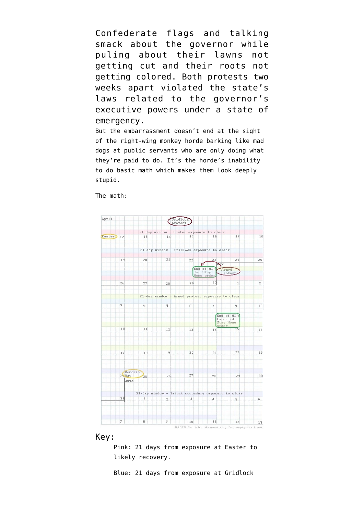Confederate flags and [talking](https://www.urbandictionary.com/define.php?term=talk%20smack) [smack](https://www.urbandictionary.com/define.php?term=talk%20smack) about the governor while puling about their lawns not getting cut and their roots not getting colored. Both protests two weeks apart violated the state's laws related to the governor's executive powers under a state of emergency.

But the embarrassment doesn't end at the sight of the right-wing monkey horde barking like mad dogs at public servants who are only doing what they're paid to do. It's the horde's inability to do basic math which makes them look deeply stupid.

The math:



Key:

Pink: 21 days from exposure at Easter to likely recovery.

Blue: 21 days from exposure at Gridlock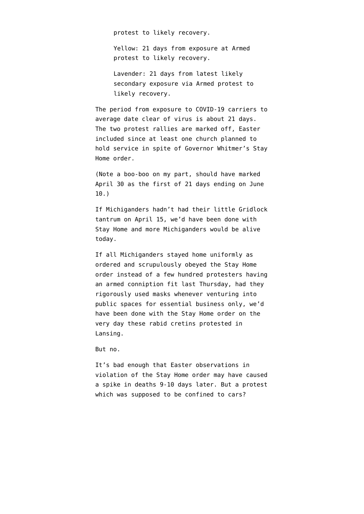protest to likely recovery.

Yellow: 21 days from exposure at Armed protest to likely recovery.

Lavender: 21 days from latest likely secondary exposure via Armed protest to likely recovery.

The period from exposure to COVID-19 carriers to average date clear of virus is about 21 days. The two protest rallies are marked off, Easter included since at least one church planned to hold service in spite of Governor Whitmer's Stay Home order.

(Note a boo-boo on my part, should have marked April 30 as the first of 21 days ending on June 10.)

If Michiganders hadn't had their little Gridlock tantrum on April 15, we'd have been done with Stay Home and more Michiganders would be alive today.

If all Michiganders stayed home uniformly as ordered and scrupulously obeyed the Stay Home order instead of a few hundred protesters having an armed conniption fit last Thursday, had they rigorously used masks whenever venturing into public spaces for essential business only, we'd have been done with the Stay Home order on the very day these rabid cretins protested in Lansing.

But no.

It's bad enough that Easter observations in violation of the Stay Home order may have caused a spike in deaths 9-10 days later. But a protest which was supposed to be confined to cars?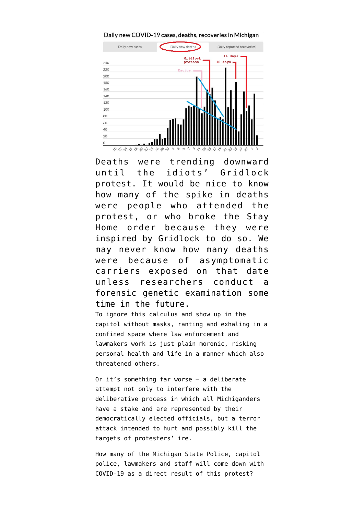



Deaths were trending downward until the idiots' Gridlock protest. It would be nice to know how many of the spike in deaths were people who attended the protest, or who broke the Stay Home order because they were inspired by Gridlock to do so. We may never know how many deaths were because of asymptomatic carriers exposed on that date unless researchers conduct a forensic genetic examination some time in the future.

To ignore this calculus and show up in the capitol without masks, ranting and exhaling in a confined space where law enforcement and lawmakers work is just plain moronic, risking personal health and life in a manner which also threatened others.

Or it's something far worse — a deliberate attempt not only to [interfere with the](https://www.nbcnews.com/think/opinion/protesters-michigan-state-capitol-can-t-just-play-politics-pandemic-ncna1198301) [deliberative process](https://www.nbcnews.com/think/opinion/protesters-michigan-state-capitol-can-t-just-play-politics-pandemic-ncna1198301) in which all Michiganders have a stake and are represented by their democratically elected officials, but a terror attack intended to hurt and possibly kill the targets of protesters' ire.

How many of the Michigan State Police, capitol police, lawmakers and staff will come down with COVID-19 as a direct result of this protest?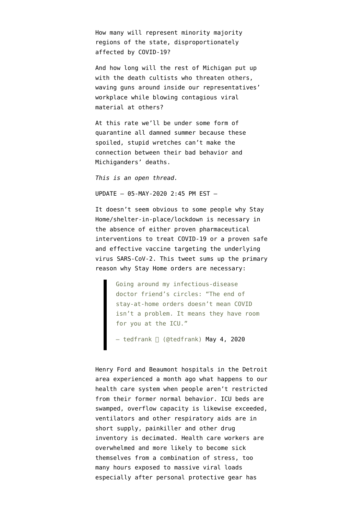How many will represent minority majority regions of the state, disproportionately affected by COVID-19?

And how long will the rest of Michigan put up with the death cultists who threaten others, waving guns around inside our representatives' workplace while blowing contagious viral material at others?

At this rate we'll be under some form of quarantine all damned summer because these spoiled, stupid wretches can't make the connection between their bad behavior and Michiganders' deaths.

*This is an open thread.*

UPDATE — 05-MAY-2020 2:45 PM EST —

It doesn't seem obvious to some people why Stay Home/shelter-in-place/lockdown is necessary in the absence of either proven pharmaceutical interventions to treat COVID-19 or a proven safe and effective vaccine targeting the underlying virus SARS-CoV-2. This tweet sums up the primary reason why Stay Home orders are necessary:

Going around my infectious-disease doctor friend's circles: "The end of stay-at-home orders doesn't mean COVID isn't a problem. It means they have room for you at the ICU."

— tedfrank □ (@tedfrank) **May 4, 2020** 

Henry Ford and Beaumont hospitals in the Detroit area experienced a month ago what happens to our health care system when people aren't restricted from their former normal behavior. ICU beds are swamped, overflow capacity is likewise exceeded, ventilators and other respiratory aids are in short supply, [painkiller and other drug](https://wwmt.com/news/coronavirus/next-potential-shortage-drugs-needed-to-run-ventilators) [inventory](https://wwmt.com/news/coronavirus/next-potential-shortage-drugs-needed-to-run-ventilators) is decimated. Health care workers are overwhelmed and more likely to become sick themselves from a combination of stress, too many hours exposed to massive viral loads especially after personal protective gear has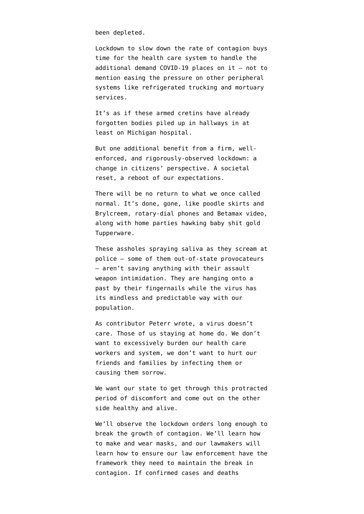been depleted.

Lockdown to slow down the rate of contagion buys time for the health care system to handle the additional demand COVID-19 places on it — not to mention easing the pressure on other peripheral systems like [refrigerated trucking](https://www.freep.com/story/news/local/michigan/wayne/2020/04/07/wayne-county-morgue-coronavirus-covid-19/2963471001/) and mortuary services.

It's as if these armed cretins have already forgotten [bodies piled up in hallways](https://www.wxyz.com/news/coronavirus/disturbing-images-show-bodies-piled-up-at-sinai-grace-hospital-in-detroit) in at least on Michigan hospital.

But one additional benefit from a firm, wellenforced, and rigorously-observed lockdown: a change in citizens' perspective. A societal reset, a reboot of our expectations.

There will be no return to what we once called normal. It's done, gone, like poodle skirts and Brylcreem, rotary-dial phones and Betamax video, along with home parties hawking baby shit gold Tupperware.

These assholes spraying saliva as they scream at police — some of them out-of-state provocateurs — aren't saving anything with their assault weapon intimidation. They are hanging onto a past by their fingernails while the virus has its mindless and predictable way with our population.

As contributor Peterr wrote, [a virus doesn't](https://www.emptywheel.net/2020/03/25/a-virus-does-not-care/) [care](https://www.emptywheel.net/2020/03/25/a-virus-does-not-care/). Those of us staying at home do. We don't want to excessively burden our health care workers and system, we don't want to hurt our friends and families by infecting them or causing them sorrow.

We want our state to get through this protracted period of discomfort and come out on the other side healthy and alive.

We'll observe the lockdown orders long enough to break the growth of contagion. We'll learn how to make and wear masks, and our lawmakers will learn how to ensure our law enforcement have the framework they need to maintain the break in contagion. If confirmed cases and deaths